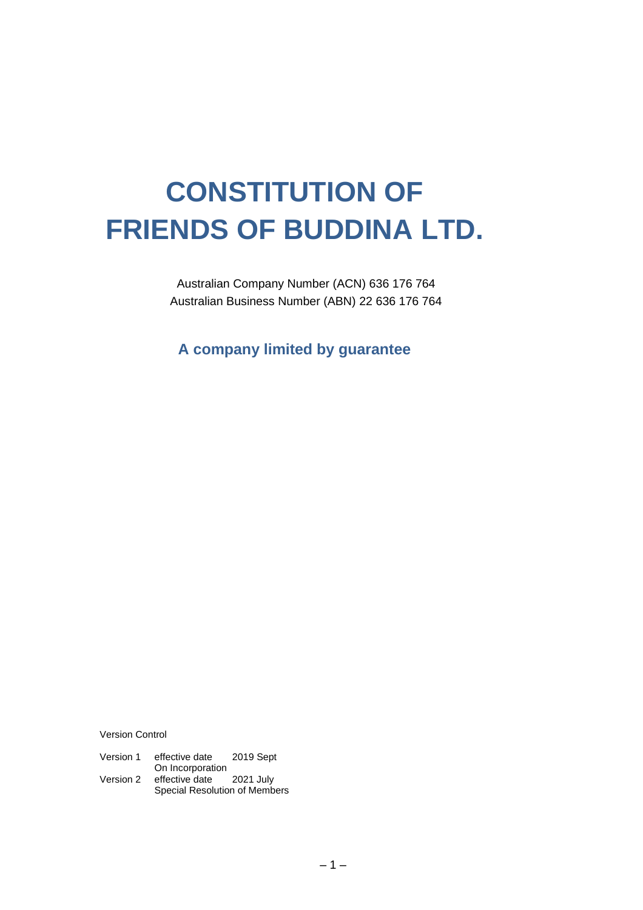# **CONSTITUTION OF FRIENDS OF BUDDINA LTD.**

Australian Company Number (ACN) 636 176 764 Australian Business Number (ABN) 22 636 176 764

**A company limited by guarantee**

Version Control

| Version 1 | effective date   | 2019 Sept |
|-----------|------------------|-----------|
|           | On Incorporation |           |
| Version 2 | effective date   | 2021 July |

Special Resolution of Members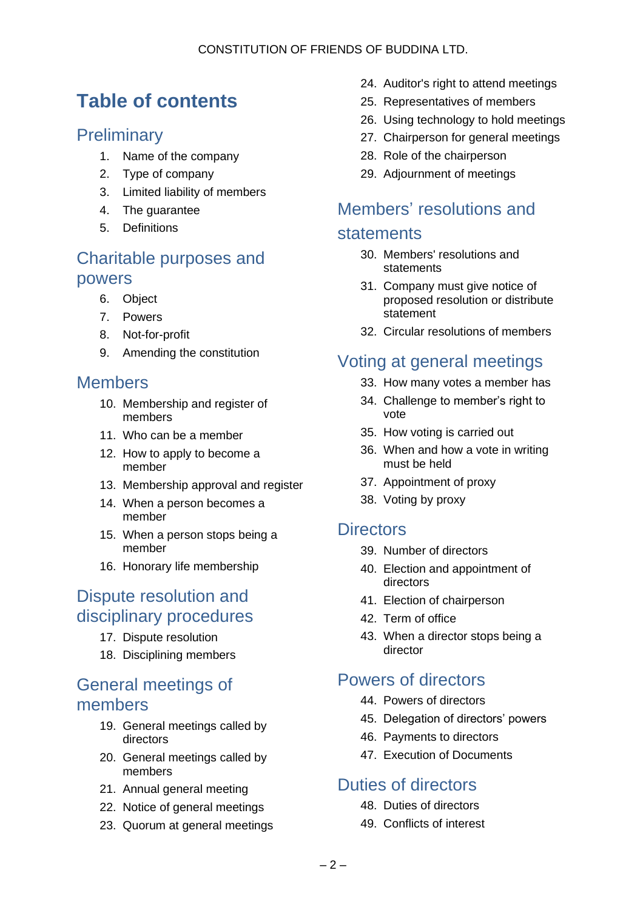# **Table of contents**

### **Preliminary**

- 1. Name of the company
- 2. Type of company
- 3. Limited liability of members
- 4. The guarantee
- 5. Definitions

### Charitable purposes and powers

- 6. Object
- 7. Powers
- 8. Not-for-profit
- 9. Amending the constitution

### Members

- 10. Membership and register of members
- 11. Who can be a member
- 12. How to apply to become a member
- 13. Membership approval and register
- 14. When a person becomes a member
- 15. When a person stops being a member
- 16. Honorary life membership

### Dispute resolution and disciplinary procedures

- 17. Dispute resolution
- 18. Disciplining members

### General meetings of members

- 19. General meetings called by directors
- 20. General meetings called by members
- 21. Annual general meeting
- 22. Notice of general meetings
- 23. Quorum at general meetings
- 24. Auditor's right to attend meetings
- 25. Representatives of members
- 26. Using technology to hold meetings
- 27. Chairperson for general meetings
- 28. Role of the chairperson
- 29. Adjournment of meetings

### Members' resolutions and

#### statements

- 30. Members' resolutions and statements
- 31. Company must give notice of proposed resolution or distribute statement
- 32. Circular resolutions of members

# Voting at general meetings

- 33. How many votes a member has
- 34. Challenge to member's right to vote
- 35. How voting is carried out
- 36. When and how a vote in writing must be held
- 37. Appointment of proxy
- 38. Voting by proxy

#### **Directors**

- 39. Number of directors
- 40. Election and appointment of directors
- 41. Election of chairperson
- 42. Term of office
- 43. When a director stops being a director

### Powers of directors

- 44. Powers of directors
- 45. Delegation of directors' powers
- 46. Payments to directors
- 47. Execution of Documents

### Duties of directors

- 48. Duties of directors
- 49. Conflicts of interest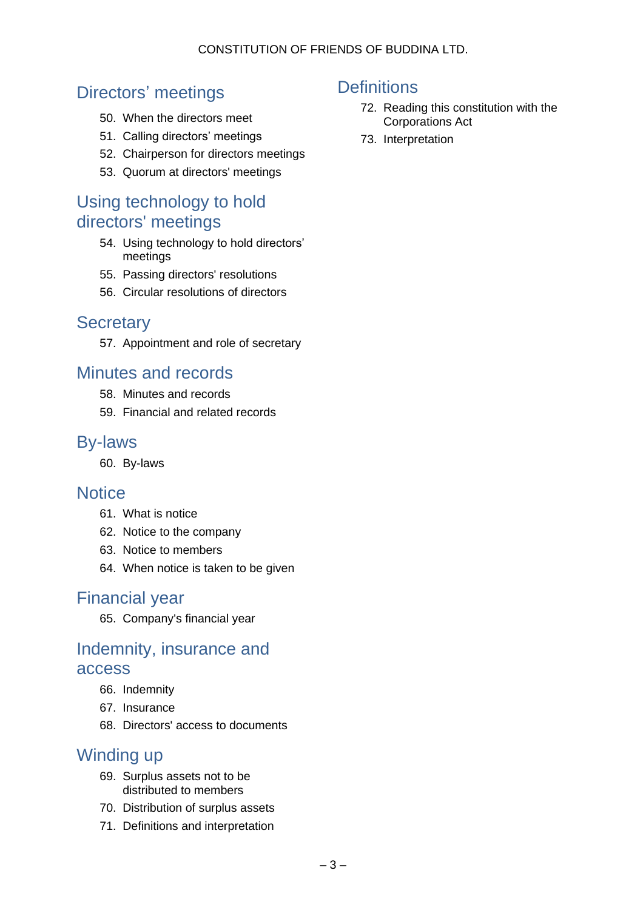# Directors' meetings

- 50. When the directors meet
- 51. Calling directors' meetings
- 52. Chairperson for directors meetings
- 53. Quorum at directors' meetings

### Using technology to hold directors' meetings

- 54. Using technology to hold directors' meetings
- 55. Passing directors' resolutions
- 56. Circular resolutions of directors

### **Secretary**

57. Appointment and role of secretary

### Minutes and records

- 58. Minutes and records
- 59. Financial and related records

### By-laws

60. By-laws

### **Notice**

- 61. What is notice
- 62. Notice to the company
- 63. Notice to members
- 64. When notice is taken to be given

### Financial year

65. Company's financial year

### Indemnity, insurance and access

- 66. Indemnity
- 67. Insurance
- 68. Directors' access to documents

### Winding up

- 69. Surplus assets not to be distributed to members
- 70. Distribution of surplus assets
- 71. Definitions and interpretation

### **Definitions**

- 72. Reading this constitution with the Corporations Act
- 73. Interpretation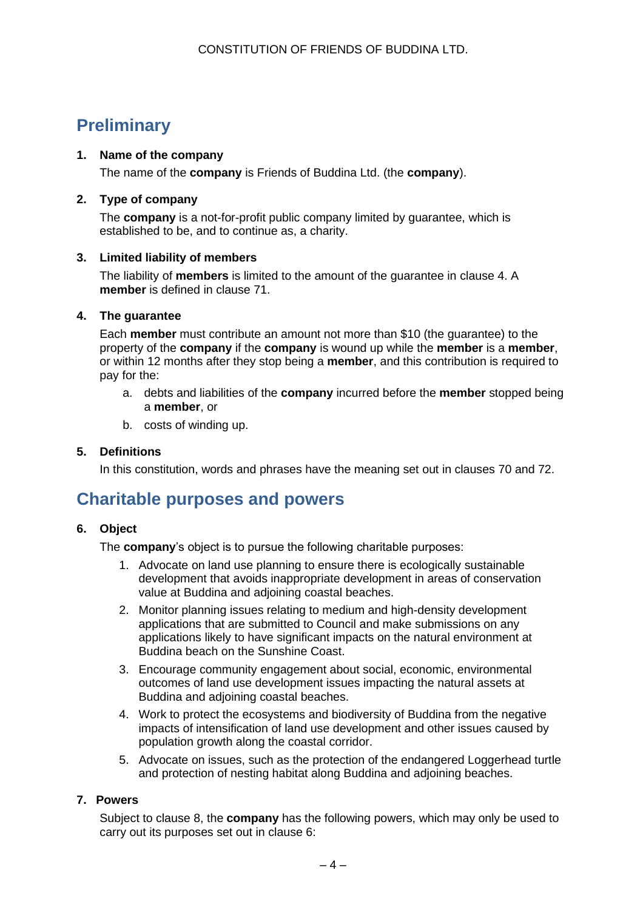# **Preliminary**

#### **1. Name of the company**

The name of the **company** is Friends of Buddina Ltd. (the **company**).

#### **2. Type of company**

The **company** is a not-for-profit public company limited by guarantee, which is established to be, and to continue as, a charity.

#### **3. Limited liability of members**

The liability of **members** is limited to the amount of the guarantee in clause 4. A **member** is defined in clause 71.

#### **4. The guarantee**

Each **member** must contribute an amount not more than \$10 (the guarantee) to the property of the **company** if the **company** is wound up while the **member** is a **member**, or within 12 months after they stop being a **member**, and this contribution is required to pay for the:

- a. debts and liabilities of the **company** incurred before the **member** stopped being a **member**, or
- b. costs of winding up.

#### **5. Definitions**

In this constitution, words and phrases have the meaning set out in clauses 70 and 72.

# **Charitable purposes and powers**

#### **6. Object**

The **company**'s object is to pursue the following charitable purposes:

- 1. Advocate on land use planning to ensure there is ecologically sustainable development that avoids inappropriate development in areas of conservation value at Buddina and adjoining coastal beaches.
- 2. Monitor planning issues relating to medium and high-density development applications that are submitted to Council and make submissions on any applications likely to have significant impacts on the natural environment at Buddina beach on the Sunshine Coast.
- 3. Encourage community engagement about social, economic, environmental outcomes of land use development issues impacting the natural assets at Buddina and adjoining coastal beaches.
- 4. Work to protect the ecosystems and biodiversity of Buddina from the negative impacts of intensification of land use development and other issues caused by population growth along the coastal corridor.
- 5. Advocate on issues, such as the protection of the endangered Loggerhead turtle and protection of nesting habitat along Buddina and adjoining beaches.

#### **7. Powers**

Subject to clause 8, the **company** has the following powers, which may only be used to carry out its purposes set out in clause 6: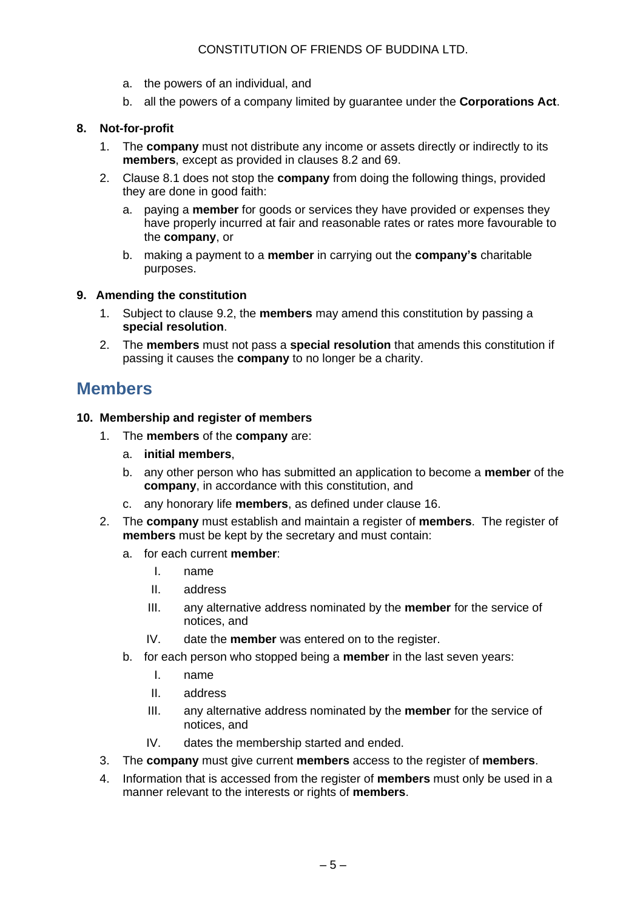- a. the powers of an individual, and
- b. all the powers of a company limited by guarantee under the **Corporations Act**.

#### **8. Not-for-profit**

- 1. The **company** must not distribute any income or assets directly or indirectly to its **members**, except as provided in clauses 8.2 and 69.
- 2. Clause 8.1 does not stop the **company** from doing the following things, provided they are done in good faith:
	- a. paying a **member** for goods or services they have provided or expenses they have properly incurred at fair and reasonable rates or rates more favourable to the **company**, or
	- b. making a payment to a **member** in carrying out the **company's** charitable purposes.

#### **9. Amending the constitution**

- 1. Subject to clause 9.2, the **members** may amend this constitution by passing a **special resolution**.
- 2. The **members** must not pass a **special resolution** that amends this constitution if passing it causes the **company** to no longer be a charity.

### **Members**

#### **10. Membership and register of members**

- 1. The **members** of the **company** are:
	- a. **initial members**,
	- b. any other person who has submitted an application to become a **member** of the **company**, in accordance with this constitution, and
	- c. any honorary life **members**, as defined under clause 16.
- 2. The **company** must establish and maintain a register of **members**. The register of **members** must be kept by the secretary and must contain:
	- a. for each current **member**:
		- I. name
		- II. address
		- III. any alternative address nominated by the **member** for the service of notices, and
		- IV. date the **member** was entered on to the register.
	- b. for each person who stopped being a **member** in the last seven years:
		- I. name
		- II. address
		- III. any alternative address nominated by the **member** for the service of notices, and
		- IV. dates the membership started and ended.
- 3. The **company** must give current **members** access to the register of **members**.
- 4. Information that is accessed from the register of **members** must only be used in a manner relevant to the interests or rights of **members**.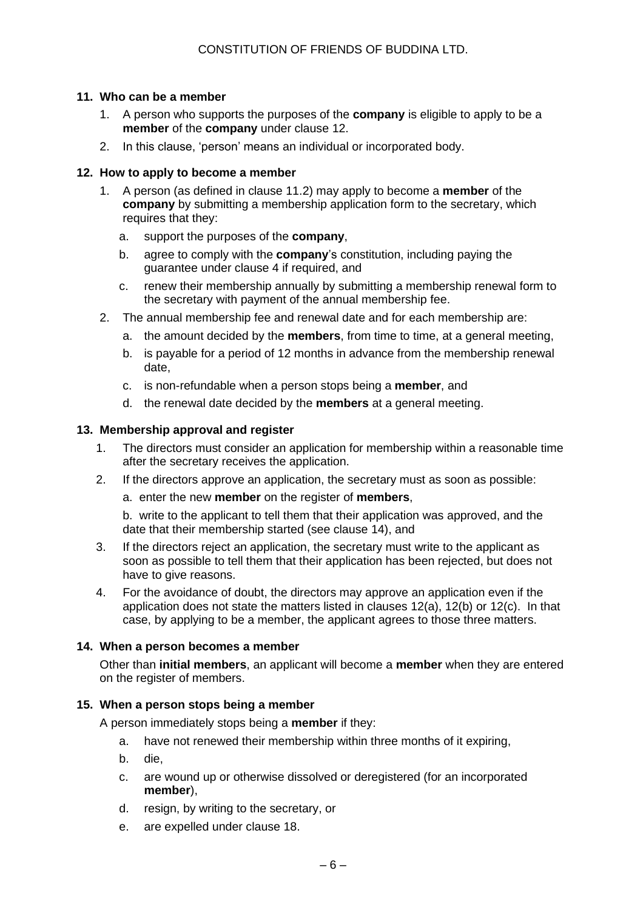#### **11. Who can be a member**

- 1. A person who supports the purposes of the **company** is eligible to apply to be a **member** of the **company** under clause 12.
- 2. In this clause, 'person' means an individual or incorporated body.

#### **12. How to apply to become a member**

- 1. A person (as defined in clause 11.2) may apply to become a **member** of the **company** by submitting a membership application form to the secretary, which requires that they:
	- a. support the purposes of the **company**,
	- b. agree to comply with the **company**'s constitution, including paying the guarantee under clause 4 if required, and
	- c. renew their membership annually by submitting a membership renewal form to the secretary with payment of the annual membership fee.
- 2. The annual membership fee and renewal date and for each membership are:
	- a. the amount decided by the **members**, from time to time, at a general meeting,
	- b. is payable for a period of 12 months in advance from the membership renewal date,
	- c. is non-refundable when a person stops being a **member**, and
	- d. the renewal date decided by the **members** at a general meeting.

#### **13. Membership approval and register**

- 1. The directors must consider an application for membership within a reasonable time after the secretary receives the application.
- 2. If the directors approve an application, the secretary must as soon as possible:
	- a. enter the new **member** on the register of **members**,

b. write to the applicant to tell them that their application was approved, and the date that their membership started (see clause 14), and

- 3. If the directors reject an application, the secretary must write to the applicant as soon as possible to tell them that their application has been rejected, but does not have to give reasons.
- 4. For the avoidance of doubt, the directors may approve an application even if the application does not state the matters listed in clauses 12(a), 12(b) or 12(c). In that case, by applying to be a member, the applicant agrees to those three matters.

#### **14. When a person becomes a member**

Other than **initial members**, an applicant will become a **member** when they are entered on the register of members.

#### **15. When a person stops being a member**

A person immediately stops being a **member** if they:

- a. have not renewed their membership within three months of it expiring,
- b. die,
- c. are wound up or otherwise dissolved or deregistered (for an incorporated **member**),
- d. resign, by writing to the secretary, or
- e. are expelled under clause 18.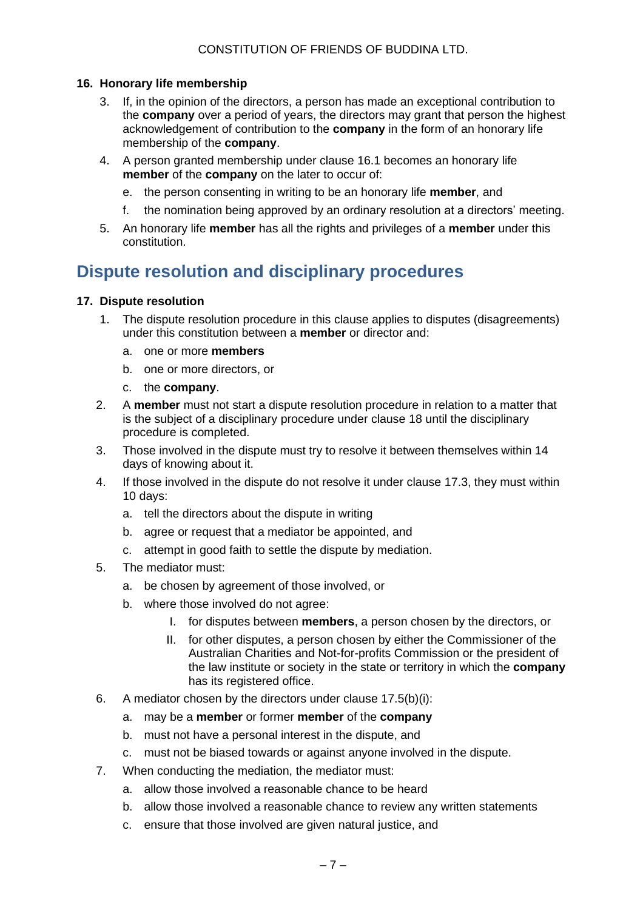#### **16. Honorary life membership**

- 3. If, in the opinion of the directors, a person has made an exceptional contribution to the **company** over a period of years, the directors may grant that person the highest acknowledgement of contribution to the **company** in the form of an honorary life membership of the **company**.
- 4. A person granted membership under clause 16.1 becomes an honorary life **member** of the **company** on the later to occur of:
	- e. the person consenting in writing to be an honorary life **member**, and
	- f. the nomination being approved by an ordinary resolution at a directors' meeting.
- 5. An honorary life **member** has all the rights and privileges of a **member** under this constitution.

# **Dispute resolution and disciplinary procedures**

#### **17. Dispute resolution**

- 1. The dispute resolution procedure in this clause applies to disputes (disagreements) under this constitution between a **member** or director and:
	- a. one or more **members**
	- b. one or more directors, or
	- c. the **company**.
- 2. A **member** must not start a dispute resolution procedure in relation to a matter that is the subject of a disciplinary procedure under clause 18 until the disciplinary procedure is completed.
- 3. Those involved in the dispute must try to resolve it between themselves within 14 days of knowing about it.
- 4. If those involved in the dispute do not resolve it under clause 17.3, they must within 10 days:
	- a. tell the directors about the dispute in writing
	- b. agree or request that a mediator be appointed, and
	- c. attempt in good faith to settle the dispute by mediation.
- 5. The mediator must:
	- a. be chosen by agreement of those involved, or
	- b. where those involved do not agree:
		- I. for disputes between **members**, a person chosen by the directors, or
		- II. for other disputes, a person chosen by either the Commissioner of the Australian Charities and Not-for-profits Commission or the president of the law institute or society in the state or territory in which the **company** has its registered office.
- 6. A mediator chosen by the directors under clause 17.5(b)(i):
	- a. may be a **member** or former **member** of the **company**
	- b. must not have a personal interest in the dispute, and
	- c. must not be biased towards or against anyone involved in the dispute.
- 7. When conducting the mediation, the mediator must:
	- a. allow those involved a reasonable chance to be heard
	- b. allow those involved a reasonable chance to review any written statements
	- c. ensure that those involved are given natural justice, and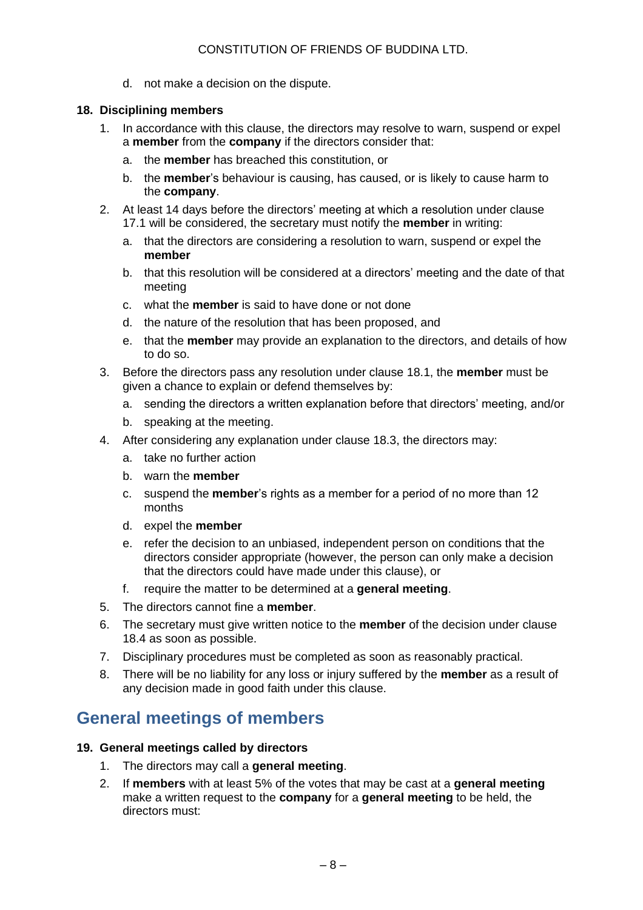d. not make a decision on the dispute.

#### **18. Disciplining members**

- 1. In accordance with this clause, the directors may resolve to warn, suspend or expel a **member** from the **company** if the directors consider that:
	- a. the **member** has breached this constitution, or
	- b. the **member**'s behaviour is causing, has caused, or is likely to cause harm to the **company**.
- 2. At least 14 days before the directors' meeting at which a resolution under clause 17.1 will be considered, the secretary must notify the **member** in writing:
	- a. that the directors are considering a resolution to warn, suspend or expel the **member**
	- b. that this resolution will be considered at a directors' meeting and the date of that meeting
	- c. what the **member** is said to have done or not done
	- d. the nature of the resolution that has been proposed, and
	- e. that the **member** may provide an explanation to the directors, and details of how to do so.
- 3. Before the directors pass any resolution under clause 18.1, the **member** must be given a chance to explain or defend themselves by:
	- a. sending the directors a written explanation before that directors' meeting, and/or
	- b. speaking at the meeting.
- 4. After considering any explanation under clause 18.3, the directors may:
	- a. take no further action
	- b. warn the **member**
	- c. suspend the **member**'s rights as a member for a period of no more than 12 months
	- d. expel the **member**
	- e. refer the decision to an unbiased, independent person on conditions that the directors consider appropriate (however, the person can only make a decision that the directors could have made under this clause), or
	- f. require the matter to be determined at a **general meeting**.
- 5. The directors cannot fine a **member**.
- 6. The secretary must give written notice to the **member** of the decision under clause 18.4 as soon as possible.
- 7. Disciplinary procedures must be completed as soon as reasonably practical.
- 8. There will be no liability for any loss or injury suffered by the **member** as a result of any decision made in good faith under this clause.

# **General meetings of members**

#### **19. General meetings called by directors**

- 1. The directors may call a **general meeting**.
- 2. If **members** with at least 5% of the votes that may be cast at a **general meeting** make a written request to the **company** for a **general meeting** to be held, the directors must: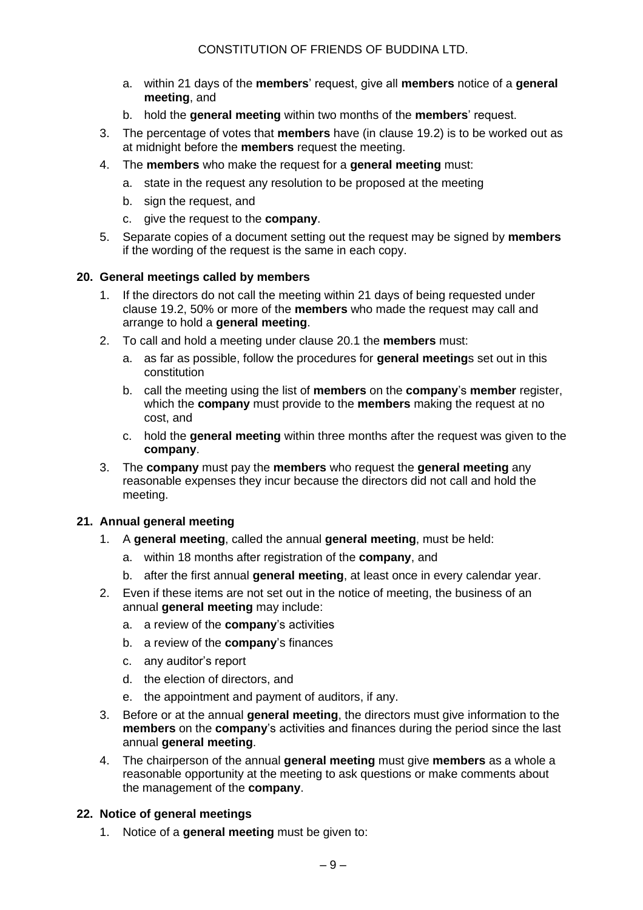- a. within 21 days of the **members**' request, give all **members** notice of a **general meeting**, and
- b. hold the **general meeting** within two months of the **members**' request.
- 3. The percentage of votes that **members** have (in clause 19.2) is to be worked out as at midnight before the **members** request the meeting.
- 4. The **members** who make the request for a **general meeting** must:
	- a. state in the request any resolution to be proposed at the meeting
	- b. sign the request, and
	- c. give the request to the **company**.
- 5. Separate copies of a document setting out the request may be signed by **members** if the wording of the request is the same in each copy.

#### **20. General meetings called by members**

- 1. If the directors do not call the meeting within 21 days of being requested under clause 19.2, 50% or more of the **members** who made the request may call and arrange to hold a **general meeting**.
- 2. To call and hold a meeting under clause 20.1 the **members** must:
	- a. as far as possible, follow the procedures for **general meeting**s set out in this constitution
	- b. call the meeting using the list of **members** on the **company**'s **member** register, which the **company** must provide to the **members** making the request at no cost, and
	- c. hold the **general meeting** within three months after the request was given to the **company**.
- 3. The **company** must pay the **members** who request the **general meeting** any reasonable expenses they incur because the directors did not call and hold the meeting.

#### **21. Annual general meeting**

- 1. A **general meeting**, called the annual **general meeting**, must be held:
	- a. within 18 months after registration of the **company**, and
	- b. after the first annual **general meeting**, at least once in every calendar year.
- 2. Even if these items are not set out in the notice of meeting, the business of an annual **general meeting** may include:
	- a. a review of the **company**'s activities
	- b. a review of the **company**'s finances
	- c. any auditor's report
	- d. the election of directors, and
	- e. the appointment and payment of auditors, if any.
- 3. Before or at the annual **general meeting**, the directors must give information to the **members** on the **company**'s activities and finances during the period since the last annual **general meeting**.
- 4. The chairperson of the annual **general meeting** must give **members** as a whole a reasonable opportunity at the meeting to ask questions or make comments about the management of the **company**.

#### **22. Notice of general meetings**

1. Notice of a **general meeting** must be given to: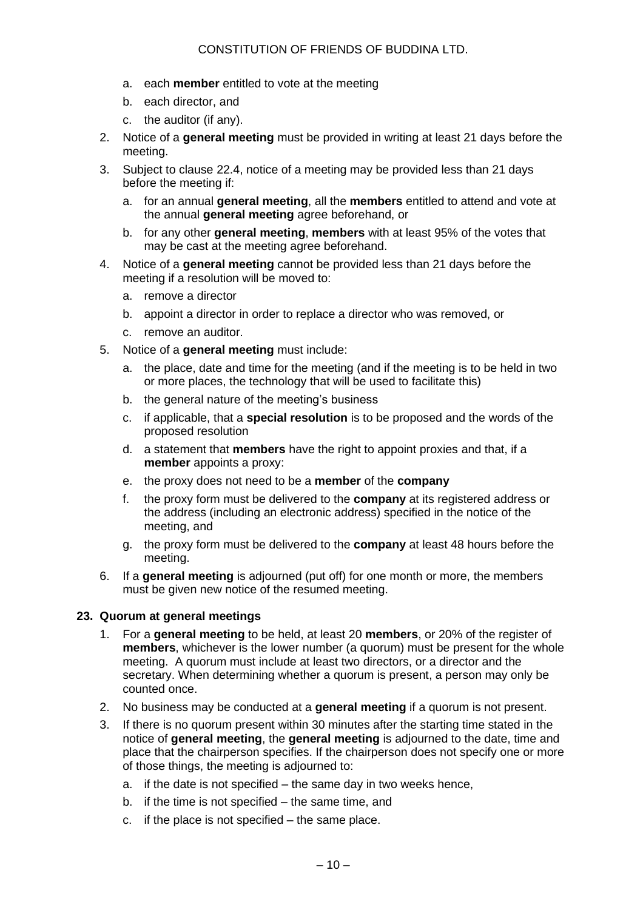- a. each **member** entitled to vote at the meeting
- b. each director, and
- c. the auditor (if any).
- 2. Notice of a **general meeting** must be provided in writing at least 21 days before the meeting.
- 3. Subject to clause 22.4, notice of a meeting may be provided less than 21 days before the meeting if:
	- a. for an annual **general meeting**, all the **members** entitled to attend and vote at the annual **general meeting** agree beforehand, or
	- b. for any other **general meeting**, **members** with at least 95% of the votes that may be cast at the meeting agree beforehand.
- 4. Notice of a **general meeting** cannot be provided less than 21 days before the meeting if a resolution will be moved to:
	- a. remove a director
	- b. appoint a director in order to replace a director who was removed, or
	- c. remove an auditor.
- 5. Notice of a **general meeting** must include:
	- a. the place, date and time for the meeting (and if the meeting is to be held in two or more places, the technology that will be used to facilitate this)
	- b. the general nature of the meeting's business
	- c. if applicable, that a **special resolution** is to be proposed and the words of the proposed resolution
	- d. a statement that **members** have the right to appoint proxies and that, if a **member** appoints a proxy:
	- e. the proxy does not need to be a **member** of the **company**
	- f. the proxy form must be delivered to the **company** at its registered address or the address (including an electronic address) specified in the notice of the meeting, and
	- g. the proxy form must be delivered to the **company** at least 48 hours before the meeting.
- 6. If a **general meeting** is adjourned (put off) for one month or more, the members must be given new notice of the resumed meeting.

#### **23. Quorum at general meetings**

- 1. For a **general meeting** to be held, at least 20 **members**, or 20% of the register of **members**, whichever is the lower number (a quorum) must be present for the whole meeting. A quorum must include at least two directors, or a director and the secretary. When determining whether a quorum is present, a person may only be counted once.
- 2. No business may be conducted at a **general meeting** if a quorum is not present.
- 3. If there is no quorum present within 30 minutes after the starting time stated in the notice of **general meeting**, the **general meeting** is adjourned to the date, time and place that the chairperson specifies. If the chairperson does not specify one or more of those things, the meeting is adjourned to:
	- a. if the date is not specified the same day in two weeks hence,
	- b. if the time is not specified the same time, and
	- c. if the place is not specified the same place.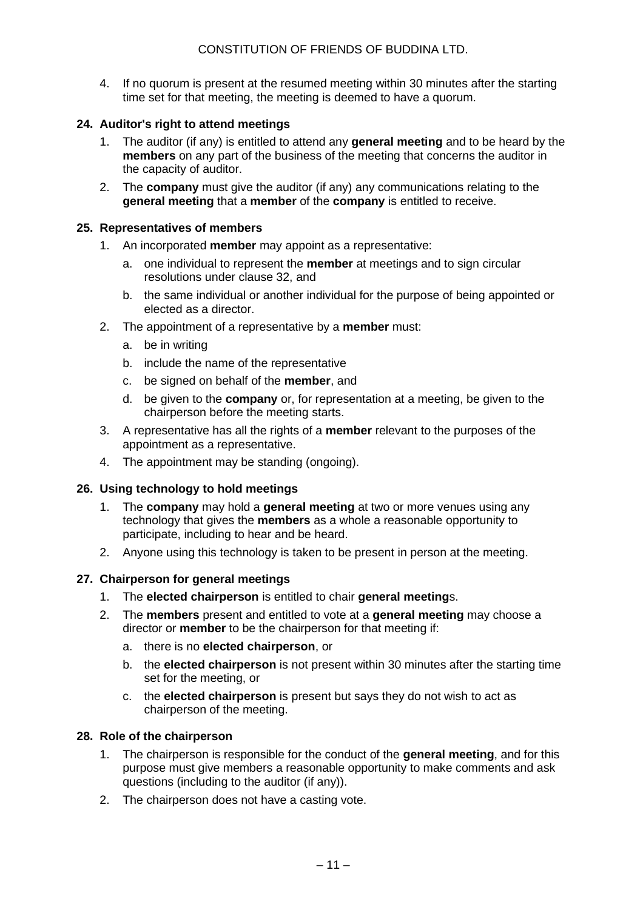4. If no quorum is present at the resumed meeting within 30 minutes after the starting time set for that meeting, the meeting is deemed to have a quorum.

#### **24. Auditor's right to attend meetings**

- 1. The auditor (if any) is entitled to attend any **general meeting** and to be heard by the **members** on any part of the business of the meeting that concerns the auditor in the capacity of auditor.
- 2. The **company** must give the auditor (if any) any communications relating to the **general meeting** that a **member** of the **company** is entitled to receive.

#### **25. Representatives of members**

- 1. An incorporated **member** may appoint as a representative:
	- a. one individual to represent the **member** at meetings and to sign circular resolutions under clause 32, and
	- b. the same individual or another individual for the purpose of being appointed or elected as a director.
- 2. The appointment of a representative by a **member** must:
	- a. be in writing
	- b. include the name of the representative
	- c. be signed on behalf of the **member**, and
	- d. be given to the **company** or, for representation at a meeting, be given to the chairperson before the meeting starts.
- 3. A representative has all the rights of a **member** relevant to the purposes of the appointment as a representative.
- 4. The appointment may be standing (ongoing).

#### **26. Using technology to hold meetings**

- 1. The **company** may hold a **general meeting** at two or more venues using any technology that gives the **members** as a whole a reasonable opportunity to participate, including to hear and be heard.
- 2. Anyone using this technology is taken to be present in person at the meeting.

#### **27. Chairperson for general meetings**

- 1. The **elected chairperson** is entitled to chair **general meeting**s.
- 2. The **members** present and entitled to vote at a **general meeting** may choose a director or **member** to be the chairperson for that meeting if:
	- a. there is no **elected chairperson**, or
	- b. the **elected chairperson** is not present within 30 minutes after the starting time set for the meeting, or
	- c. the **elected chairperson** is present but says they do not wish to act as chairperson of the meeting.

#### **28. Role of the chairperson**

- 1. The chairperson is responsible for the conduct of the **general meeting**, and for this purpose must give members a reasonable opportunity to make comments and ask questions (including to the auditor (if any)).
- 2. The chairperson does not have a casting vote.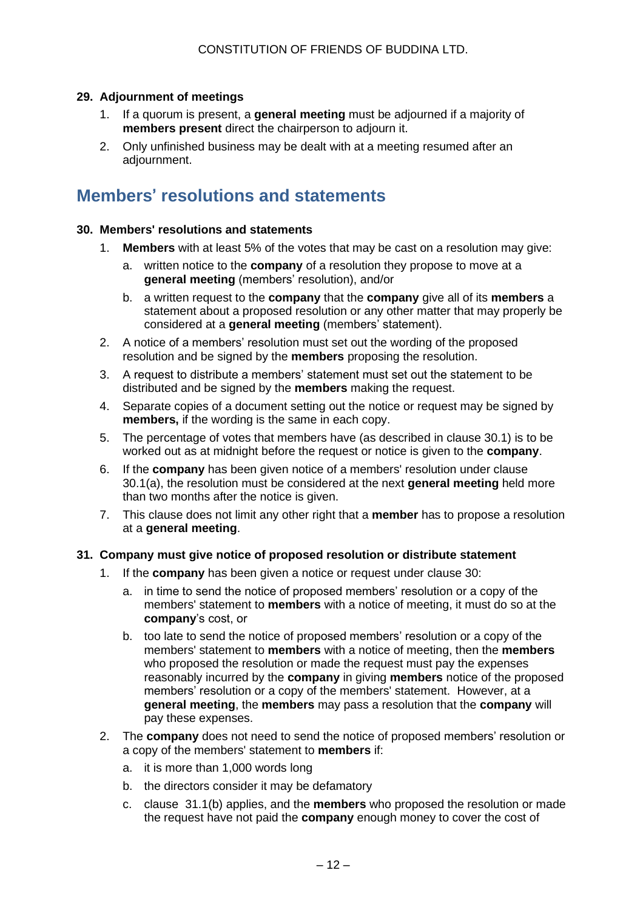#### **29. Adjournment of meetings**

- 1. If a quorum is present, a **general meeting** must be adjourned if a majority of **members present** direct the chairperson to adjourn it.
- 2. Only unfinished business may be dealt with at a meeting resumed after an adjournment.

### **Members**' **resolutions and statements**

#### **30. Members' resolutions and statements**

- 1. **Members** with at least 5% of the votes that may be cast on a resolution may give:
	- a. written notice to the **company** of a resolution they propose to move at a **general meeting** (members' resolution), and/or
	- b. a written request to the **company** that the **company** give all of its **members** a statement about a proposed resolution or any other matter that may properly be considered at a **general meeting** (members' statement).
- 2. A notice of a members' resolution must set out the wording of the proposed resolution and be signed by the **members** proposing the resolution.
- 3. A request to distribute a members' statement must set out the statement to be distributed and be signed by the **members** making the request.
- 4. Separate copies of a document setting out the notice or request may be signed by **members,** if the wording is the same in each copy.
- 5. The percentage of votes that members have (as described in clause 30.1) is to be worked out as at midnight before the request or notice is given to the **company**.
- 6. If the **company** has been given notice of a members' resolution under clause 30.1(a), the resolution must be considered at the next **general meeting** held more than two months after the notice is given.
- 7. This clause does not limit any other right that a **member** has to propose a resolution at a **general meeting**.

#### **31. Company must give notice of proposed resolution or distribute statement**

- 1. If the **company** has been given a notice or request under clause 30:
	- a. in time to send the notice of proposed members' resolution or a copy of the members' statement to **members** with a notice of meeting, it must do so at the **company**'s cost, or
	- b. too late to send the notice of proposed members' resolution or a copy of the members' statement to **members** with a notice of meeting, then the **members** who proposed the resolution or made the request must pay the expenses reasonably incurred by the **company** in giving **members** notice of the proposed members' resolution or a copy of the members' statement. However, at a **general meeting**, the **members** may pass a resolution that the **company** will pay these expenses.
- 2. The **company** does not need to send the notice of proposed members' resolution or a copy of the members' statement to **members** if:
	- a. it is more than 1,000 words long
	- b. the directors consider it may be defamatory
	- c. clause 31.1(b) applies, and the **members** who proposed the resolution or made the request have not paid the **company** enough money to cover the cost of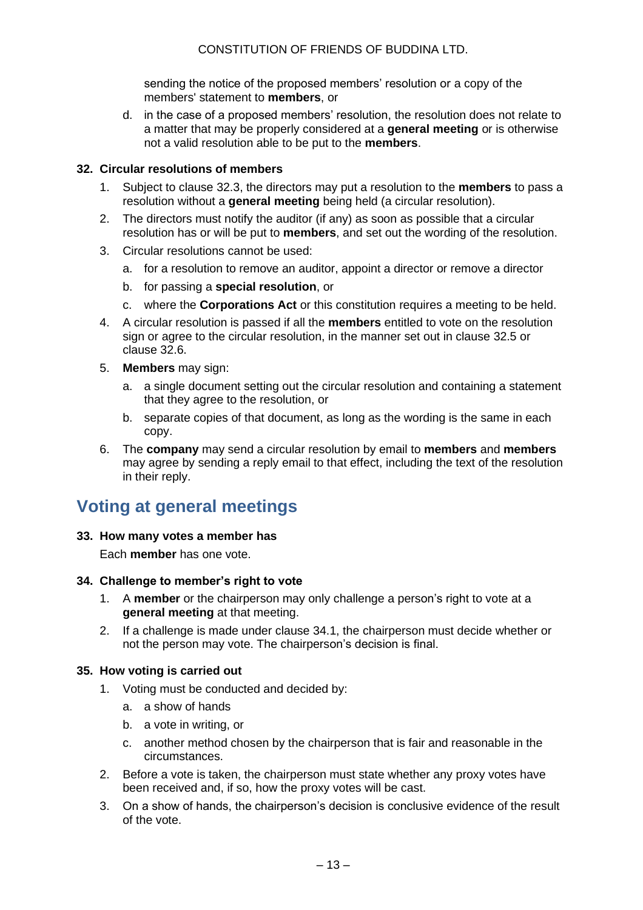sending the notice of the proposed members' resolution or a copy of the members' statement to **members**, or

d. in the case of a proposed members' resolution, the resolution does not relate to a matter that may be properly considered at a **general meeting** or is otherwise not a valid resolution able to be put to the **members**.

#### **32. Circular resolutions of members**

- 1. Subject to clause 32.3, the directors may put a resolution to the **members** to pass a resolution without a **general meeting** being held (a circular resolution).
- 2. The directors must notify the auditor (if any) as soon as possible that a circular resolution has or will be put to **members**, and set out the wording of the resolution.
- 3. Circular resolutions cannot be used:
	- a. for a resolution to remove an auditor, appoint a director or remove a director
	- b. for passing a **special resolution**, or
	- c. where the **Corporations Act** or this constitution requires a meeting to be held.
- 4. A circular resolution is passed if all the **members** entitled to vote on the resolution sign or agree to the circular resolution, in the manner set out in clause 32.5 or clause 32.6.
- 5. **Members** may sign:
	- a. a single document setting out the circular resolution and containing a statement that they agree to the resolution, or
	- b. separate copies of that document, as long as the wording is the same in each copy.
- 6. The **company** may send a circular resolution by email to **members** and **members** may agree by sending a reply email to that effect, including the text of the resolution in their reply.

# **Voting at general meetings**

#### **33. How many votes a member has**

Each **member** has one vote.

#### **34. Challenge to member's right to vote**

- 1. A **member** or the chairperson may only challenge a person's right to vote at a **general meeting** at that meeting.
- 2. If a challenge is made under clause 34.1, the chairperson must decide whether or not the person may vote. The chairperson's decision is final.

#### **35. How voting is carried out**

- 1. Voting must be conducted and decided by:
	- a. a show of hands
	- b. a vote in writing, or
	- c. another method chosen by the chairperson that is fair and reasonable in the circumstances.
- 2. Before a vote is taken, the chairperson must state whether any proxy votes have been received and, if so, how the proxy votes will be cast.
- 3. On a show of hands, the chairperson's decision is conclusive evidence of the result of the vote.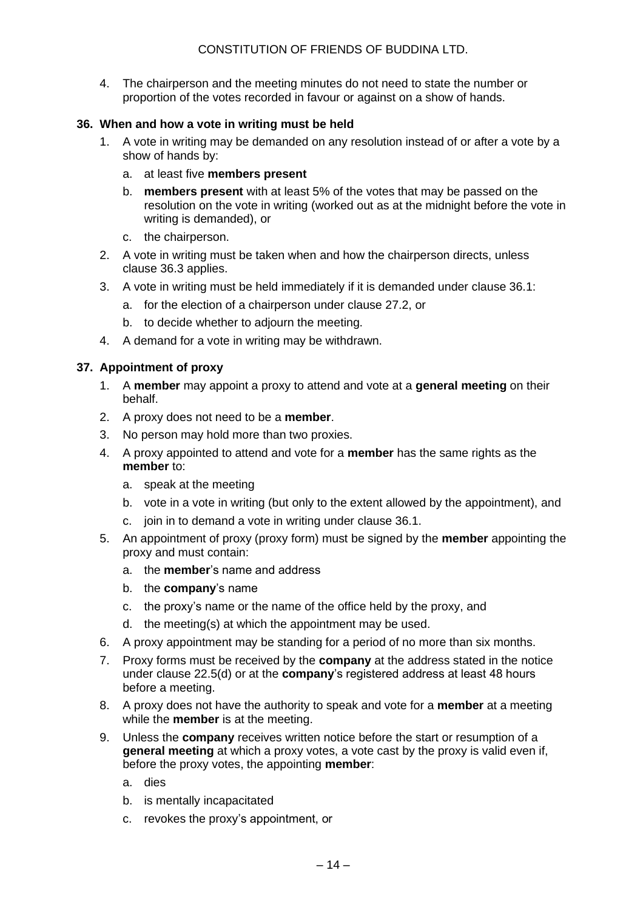4. The chairperson and the meeting minutes do not need to state the number or proportion of the votes recorded in favour or against on a show of hands.

#### **36. When and how a vote in writing must be held**

- 1. A vote in writing may be demanded on any resolution instead of or after a vote by a show of hands by:
	- a. at least five **members present**
	- b. **members present** with at least 5% of the votes that may be passed on the resolution on the vote in writing (worked out as at the midnight before the vote in writing is demanded), or
	- c. the chairperson.
- 2. A vote in writing must be taken when and how the chairperson directs, unless clause 36.3 applies.
- 3. A vote in writing must be held immediately if it is demanded under clause 36.1:
	- a. for the election of a chairperson under clause 27.2, or
	- b. to decide whether to adjourn the meeting.
- 4. A demand for a vote in writing may be withdrawn.

#### **37. Appointment of proxy**

- 1. A **member** may appoint a proxy to attend and vote at a **general meeting** on their behalf.
- 2. A proxy does not need to be a **member**.
- 3. No person may hold more than two proxies.
- 4. A proxy appointed to attend and vote for a **member** has the same rights as the **member** to:
	- a. speak at the meeting
	- b. vote in a vote in writing (but only to the extent allowed by the appointment), and
	- c. join in to demand a vote in writing under clause 36.1.
- 5. An appointment of proxy (proxy form) must be signed by the **member** appointing the proxy and must contain:
	- a. the **member**'s name and address
	- b. the **company**'s name
	- c. the proxy's name or the name of the office held by the proxy, and
	- d. the meeting(s) at which the appointment may be used.
- 6. A proxy appointment may be standing for a period of no more than six months.
- 7. Proxy forms must be received by the **company** at the address stated in the notice under clause 22.5(d) or at the **company**'s registered address at least 48 hours before a meeting.
- 8. A proxy does not have the authority to speak and vote for a **member** at a meeting while the **member** is at the meeting.
- 9. Unless the **company** receives written notice before the start or resumption of a **general meeting** at which a proxy votes, a vote cast by the proxy is valid even if, before the proxy votes, the appointing **member**:
	- a. dies
	- b. is mentally incapacitated
	- c. revokes the proxy's appointment, or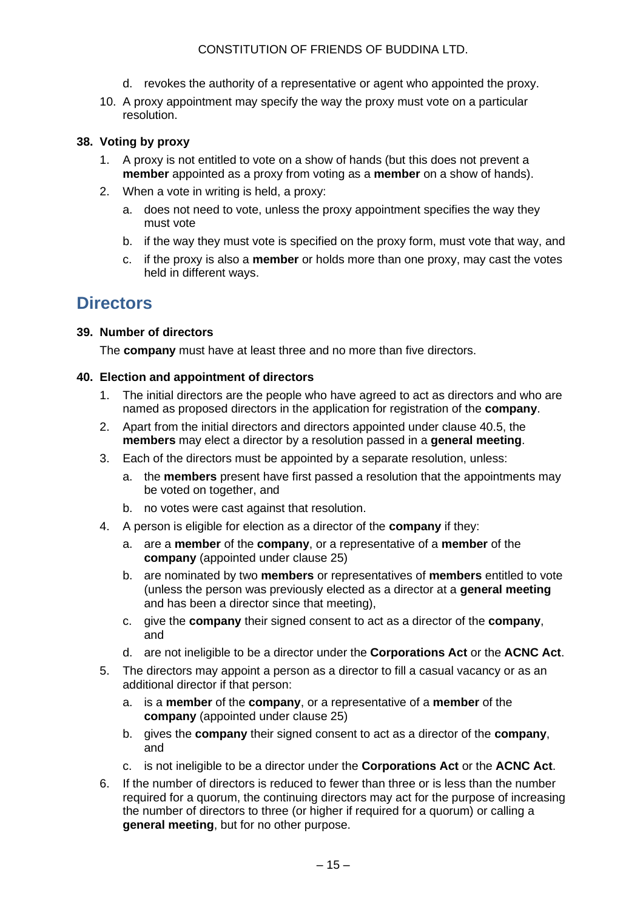- d. revokes the authority of a representative or agent who appointed the proxy.
- 10. A proxy appointment may specify the way the proxy must vote on a particular resolution.

#### **38. Voting by proxy**

- 1. A proxy is not entitled to vote on a show of hands (but this does not prevent a **member** appointed as a proxy from voting as a **member** on a show of hands).
- 2. When a vote in writing is held, a proxy:
	- a. does not need to vote, unless the proxy appointment specifies the way they must vote
	- b. if the way they must vote is specified on the proxy form, must vote that way, and
	- c. if the proxy is also a **member** or holds more than one proxy, may cast the votes held in different ways.

### **Directors**

#### **39. Number of directors**

The **company** must have at least three and no more than five directors.

#### **40. Election and appointment of directors**

- 1. The initial directors are the people who have agreed to act as directors and who are named as proposed directors in the application for registration of the **company**.
- 2. Apart from the initial directors and directors appointed under clause 40.5, the **members** may elect a director by a resolution passed in a **general meeting**.
- 3. Each of the directors must be appointed by a separate resolution, unless:
	- a. the **members** present have first passed a resolution that the appointments may be voted on together, and
	- b. no votes were cast against that resolution.
- 4. A person is eligible for election as a director of the **company** if they:
	- a. are a **member** of the **company**, or a representative of a **member** of the **company** (appointed under clause 25)
	- b. are nominated by two **members** or representatives of **members** entitled to vote (unless the person was previously elected as a director at a **general meeting** and has been a director since that meeting),
	- c. give the **company** their signed consent to act as a director of the **company**, and
	- d. are not ineligible to be a director under the **Corporations Act** or the **ACNC Act**.
- 5. The directors may appoint a person as a director to fill a casual vacancy or as an additional director if that person:
	- a. is a **member** of the **company**, or a representative of a **member** of the **company** (appointed under clause 25)
	- b. gives the **company** their signed consent to act as a director of the **company**, and
	- c. is not ineligible to be a director under the **Corporations Act** or the **ACNC Act**.
- 6. If the number of directors is reduced to fewer than three or is less than the number required for a quorum, the continuing directors may act for the purpose of increasing the number of directors to three (or higher if required for a quorum) or calling a **general meeting**, but for no other purpose.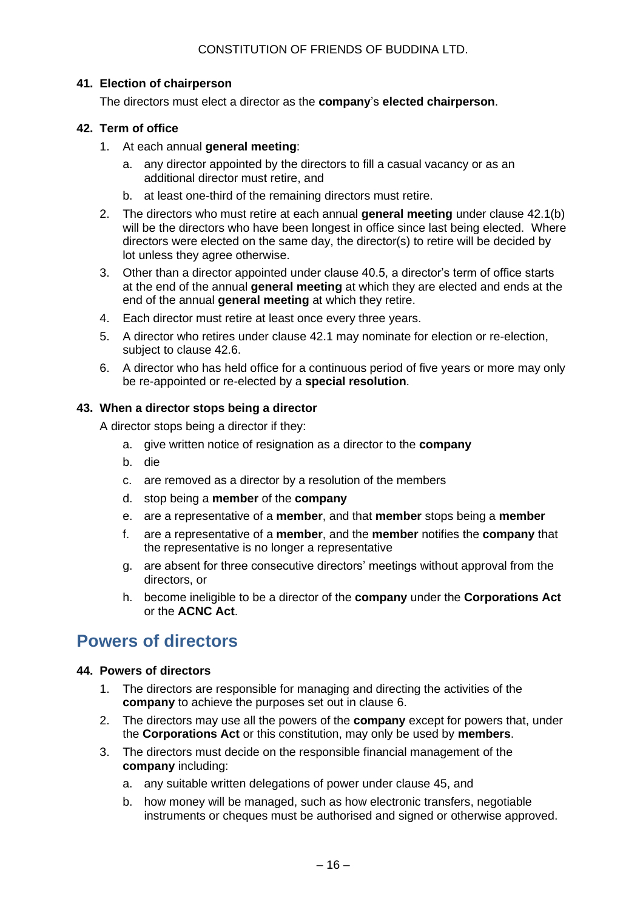#### **41. Election of chairperson**

The directors must elect a director as the **company**'s **elected chairperson**.

#### **42. Term of office**

- 1. At each annual **general meeting**:
	- a. any director appointed by the directors to fill a casual vacancy or as an additional director must retire, and
	- b. at least one-third of the remaining directors must retire.
- 2. The directors who must retire at each annual **general meeting** under clause 42.1(b) will be the directors who have been longest in office since last being elected. Where directors were elected on the same day, the director(s) to retire will be decided by lot unless they agree otherwise.
- 3. Other than a director appointed under clause 40.5, a director's term of office starts at the end of the annual **general meeting** at which they are elected and ends at the end of the annual **general meeting** at which they retire.
- 4. Each director must retire at least once every three years.
- 5. A director who retires under clause 42.1 may nominate for election or re-election, subject to clause 42.6.
- 6. A director who has held office for a continuous period of five years or more may only be re-appointed or re-elected by a **special resolution**.

#### **43. When a director stops being a director**

A director stops being a director if they:

- a. give written notice of resignation as a director to the **company**
- b. die
- c. are removed as a director by a resolution of the members
- d. stop being a **member** of the **company**
- e. are a representative of a **member**, and that **member** stops being a **member**
- f. are a representative of a **member**, and the **member** notifies the **company** that the representative is no longer a representative
- g. are absent for three consecutive directors' meetings without approval from the directors, or
- h. become ineligible to be a director of the **company** under the **Corporations Act** or the **ACNC Act**.

# **Powers of directors**

#### **44. Powers of directors**

- 1. The directors are responsible for managing and directing the activities of the **company** to achieve the purposes set out in clause 6.
- 2. The directors may use all the powers of the **company** except for powers that, under the **Corporations Act** or this constitution, may only be used by **members**.
- 3. The directors must decide on the responsible financial management of the **company** including:
	- a. any suitable written delegations of power under clause 45, and
	- b. how money will be managed, such as how electronic transfers, negotiable instruments or cheques must be authorised and signed or otherwise approved.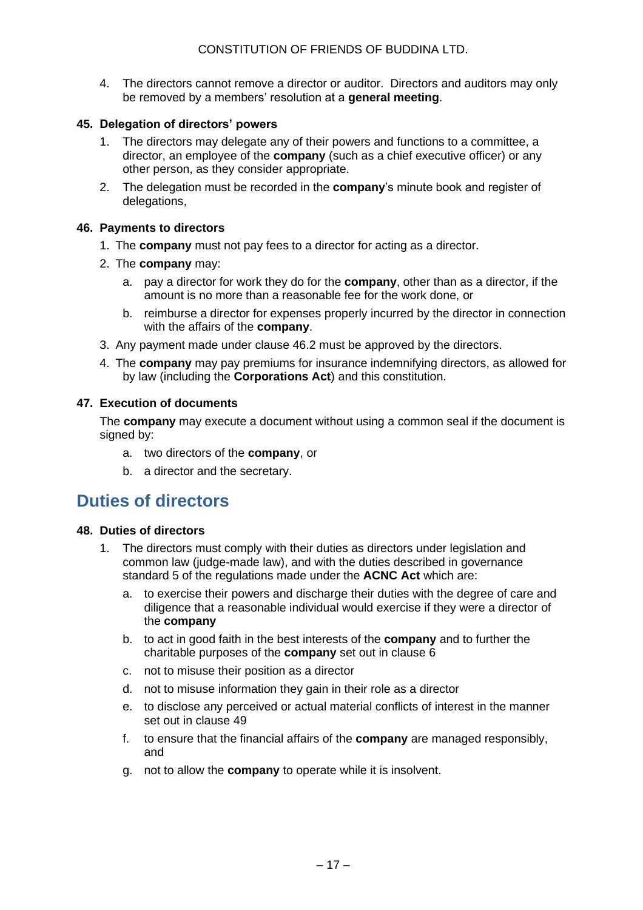4. The directors cannot remove a director or auditor. Directors and auditors may only be removed by a members' resolution at a **general meeting**.

#### **45. Delegation of directors' powers**

- 1. The directors may delegate any of their powers and functions to a committee, a director, an employee of the **company** (such as a chief executive officer) or any other person, as they consider appropriate.
- 2. The delegation must be recorded in the **company**'s minute book and register of delegations,

#### **46. Payments to directors**

- 1. The **company** must not pay fees to a director for acting as a director.
- 2. The **company** may:
	- a. pay a director for work they do for the **company**, other than as a director, if the amount is no more than a reasonable fee for the work done, or
	- b. reimburse a director for expenses properly incurred by the director in connection with the affairs of the **company**.
- 3. Any payment made under clause 46.2 must be approved by the directors.
- 4. The **company** may pay premiums for insurance indemnifying directors, as allowed for by law (including the **Corporations Act**) and this constitution.

#### **47. Execution of documents**

The **company** may execute a document without using a common seal if the document is signed by:

- a. two directors of the **company**, or
- b. a director and the secretary.

### **Duties of directors**

#### **48. Duties of directors**

- 1. The directors must comply with their duties as directors under legislation and common law (judge-made law), and with the duties described in governance standard 5 of the regulations made under the **ACNC Act** which are:
	- a. to exercise their powers and discharge their duties with the degree of care and diligence that a reasonable individual would exercise if they were a director of the **company**
	- b. to act in good faith in the best interests of the **company** and to further the charitable purposes of the **company** set out in clause 6
	- c. not to misuse their position as a director
	- d. not to misuse information they gain in their role as a director
	- e. to disclose any perceived or actual material conflicts of interest in the manner set out in clause 49
	- f. to ensure that the financial affairs of the **company** are managed responsibly, and
	- g. not to allow the **company** to operate while it is insolvent.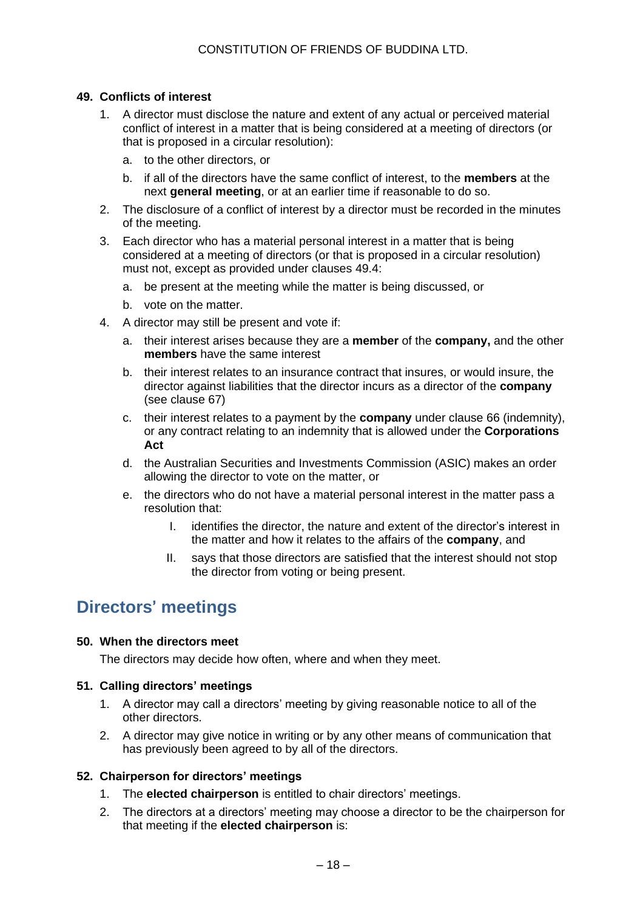#### **49. Conflicts of interest**

- 1. A director must disclose the nature and extent of any actual or perceived material conflict of interest in a matter that is being considered at a meeting of directors (or that is proposed in a circular resolution):
	- a. to the other directors, or
	- b. if all of the directors have the same conflict of interest, to the **members** at the next **general meeting**, or at an earlier time if reasonable to do so.
- 2. The disclosure of a conflict of interest by a director must be recorded in the minutes of the meeting.
- 3. Each director who has a material personal interest in a matter that is being considered at a meeting of directors (or that is proposed in a circular resolution) must not, except as provided under clauses 49.4:
	- a. be present at the meeting while the matter is being discussed, or
	- b. vote on the matter.
- 4. A director may still be present and vote if:
	- a. their interest arises because they are a **member** of the **company,** and the other **members** have the same interest
	- b. their interest relates to an insurance contract that insures, or would insure, the director against liabilities that the director incurs as a director of the **company** (see clause 67)
	- c. their interest relates to a payment by the **company** under clause 66 (indemnity), or any contract relating to an indemnity that is allowed under the **Corporations Act**
	- d. the Australian Securities and Investments Commission (ASIC) makes an order allowing the director to vote on the matter, or
	- e. the directors who do not have a material personal interest in the matter pass a resolution that:
		- I. identifies the director, the nature and extent of the director's interest in the matter and how it relates to the affairs of the **company**, and
		- II. says that those directors are satisfied that the interest should not stop the director from voting or being present.

# **Directors**' **meetings**

#### **50. When the directors meet**

The directors may decide how often, where and when they meet.

#### **51. Calling directors' meetings**

- 1. A director may call a directors' meeting by giving reasonable notice to all of the other directors.
- 2. A director may give notice in writing or by any other means of communication that has previously been agreed to by all of the directors.

#### **52. Chairperson for directors' meetings**

- 1. The **elected chairperson** is entitled to chair directors' meetings.
- 2. The directors at a directors' meeting may choose a director to be the chairperson for that meeting if the **elected chairperson** is: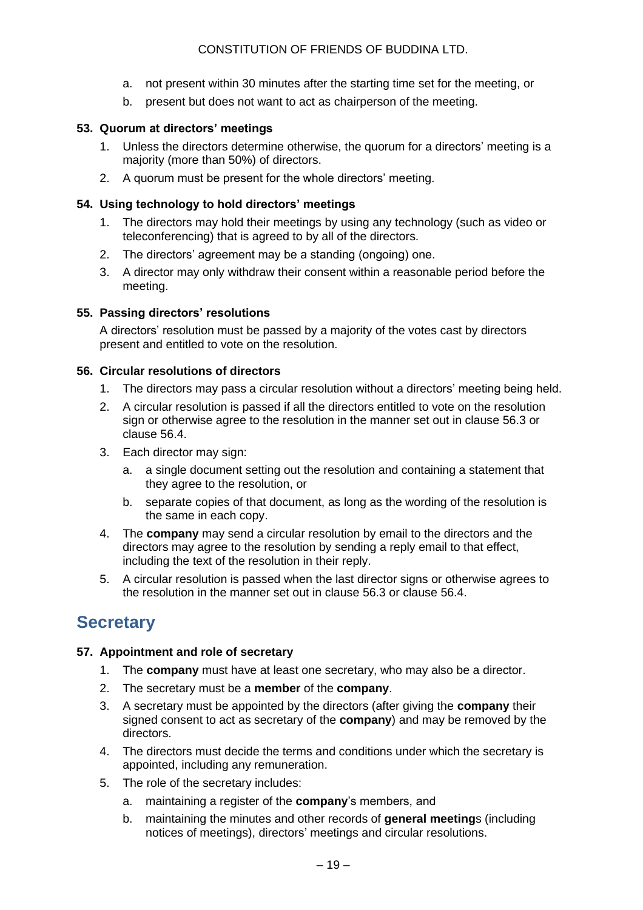- a. not present within 30 minutes after the starting time set for the meeting, or
- b. present but does not want to act as chairperson of the meeting.

#### **53. Quorum at directors' meetings**

- 1. Unless the directors determine otherwise, the quorum for a directors' meeting is a majority (more than 50%) of directors.
- 2. A quorum must be present for the whole directors' meeting.

#### **54. Using technology to hold directors' meetings**

- 1. The directors may hold their meetings by using any technology (such as video or teleconferencing) that is agreed to by all of the directors.
- 2. The directors' agreement may be a standing (ongoing) one.
- 3. A director may only withdraw their consent within a reasonable period before the meeting.

#### **55. Passing directors' resolutions**

A directors' resolution must be passed by a majority of the votes cast by directors present and entitled to vote on the resolution.

#### **56. Circular resolutions of directors**

- 1. The directors may pass a circular resolution without a directors' meeting being held.
- 2. A circular resolution is passed if all the directors entitled to vote on the resolution sign or otherwise agree to the resolution in the manner set out in clause 56.3 or clause 56.4.
- 3. Each director may sign:
	- a. a single document setting out the resolution and containing a statement that they agree to the resolution, or
	- b. separate copies of that document, as long as the wording of the resolution is the same in each copy.
- 4. The **company** may send a circular resolution by email to the directors and the directors may agree to the resolution by sending a reply email to that effect, including the text of the resolution in their reply.
- 5. A circular resolution is passed when the last director signs or otherwise agrees to the resolution in the manner set out in clause 56.3 or clause 56.4.

# **Secretary**

#### **57. Appointment and role of secretary**

- 1. The **company** must have at least one secretary, who may also be a director.
- 2. The secretary must be a **member** of the **company**.
- 3. A secretary must be appointed by the directors (after giving the **company** their signed consent to act as secretary of the **company**) and may be removed by the directors.
- 4. The directors must decide the terms and conditions under which the secretary is appointed, including any remuneration.
- 5. The role of the secretary includes:
	- a. maintaining a register of the **company**'s members, and
	- b. maintaining the minutes and other records of **general meeting**s (including notices of meetings), directors' meetings and circular resolutions.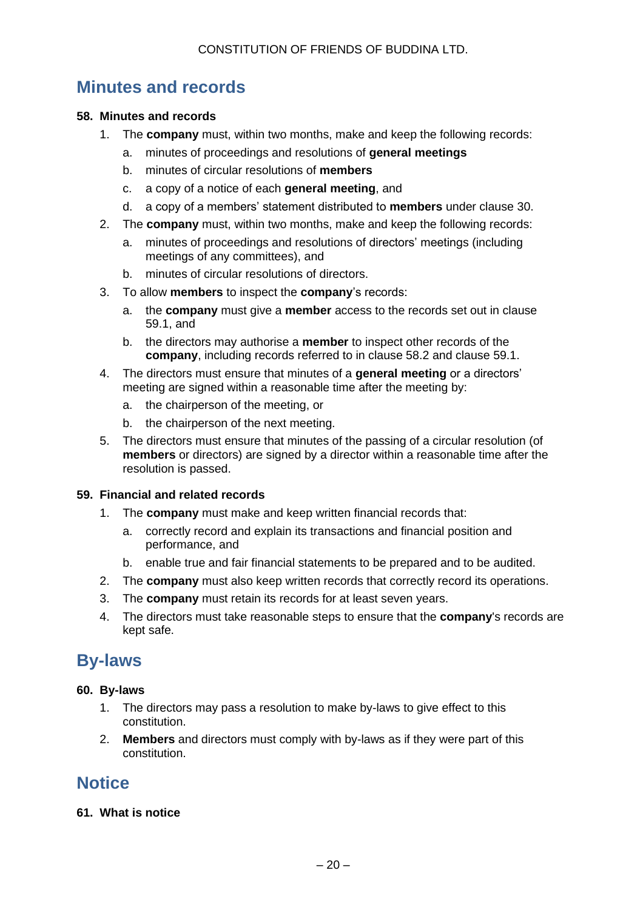# **Minutes and records**

#### **58. Minutes and records**

- 1. The **company** must, within two months, make and keep the following records:
	- a. minutes of proceedings and resolutions of **general meetings**
	- b. minutes of circular resolutions of **members**
	- c. a copy of a notice of each **general meeting**, and
	- d. a copy of a members' statement distributed to **members** under clause 30.
- 2. The **company** must, within two months, make and keep the following records:
	- a. minutes of proceedings and resolutions of directors' meetings (including meetings of any committees), and
	- b. minutes of circular resolutions of directors.
- 3. To allow **members** to inspect the **company**'s records:
	- a. the **company** must give a **member** access to the records set out in clause 59.1, and
	- b. the directors may authorise a **member** to inspect other records of the **company**, including records referred to in clause 58.2 and clause 59.1.
- 4. The directors must ensure that minutes of a **general meeting** or a directors' meeting are signed within a reasonable time after the meeting by:
	- a. the chairperson of the meeting, or
	- b. the chairperson of the next meeting.
- 5. The directors must ensure that minutes of the passing of a circular resolution (of **members** or directors) are signed by a director within a reasonable time after the resolution is passed.

#### **59. Financial and related records**

- 1. The **company** must make and keep written financial records that:
	- a. correctly record and explain its transactions and financial position and performance, and
	- b. enable true and fair financial statements to be prepared and to be audited.
- 2. The **company** must also keep written records that correctly record its operations.
- 3. The **company** must retain its records for at least seven years.
- 4. The directors must take reasonable steps to ensure that the **company**'s records are kept safe.

### **By-laws**

#### **60. By-laws**

- 1. The directors may pass a resolution to make by-laws to give effect to this constitution.
- 2. **Members** and directors must comply with by-laws as if they were part of this constitution.

# **Notice**

**61. What is notice**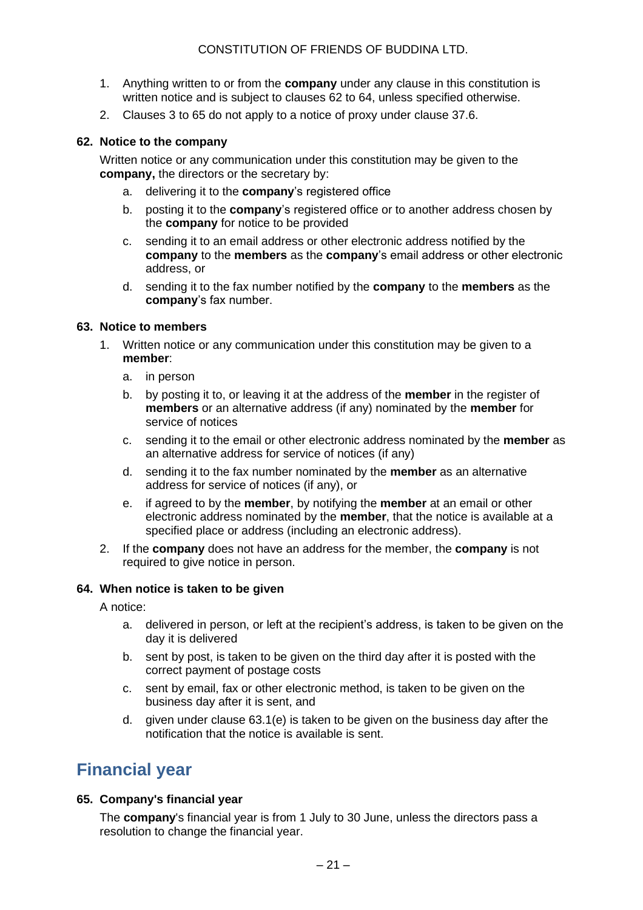- 1. Anything written to or from the **company** under any clause in this constitution is written notice and is subject to clauses 62 to 64, unless specified otherwise.
- 2. Clauses 3 to 65 do not apply to a notice of proxy under clause 37.6.

#### **62. Notice to the company**

Written notice or any communication under this constitution may be given to the **company,** the directors or the secretary by:

- a. delivering it to the **company**'s registered office
- b. posting it to the **company**'s registered office or to another address chosen by the **company** for notice to be provided
- c. sending it to an email address or other electronic address notified by the **company** to the **members** as the **company**'s email address or other electronic address, or
- d. sending it to the fax number notified by the **company** to the **members** as the **company**'s fax number.

#### **63. Notice to members**

- 1. Written notice or any communication under this constitution may be given to a **member**:
	- a. in person
	- b. by posting it to, or leaving it at the address of the **member** in the register of **members** or an alternative address (if any) nominated by the **member** for service of notices
	- c. sending it to the email or other electronic address nominated by the **member** as an alternative address for service of notices (if any)
	- d. sending it to the fax number nominated by the **member** as an alternative address for service of notices (if any), or
	- e. if agreed to by the **member**, by notifying the **member** at an email or other electronic address nominated by the **member**, that the notice is available at a specified place or address (including an electronic address).
- 2. If the **company** does not have an address for the member, the **company** is not required to give notice in person.

#### **64. When notice is taken to be given**

A notice:

- a. delivered in person, or left at the recipient's address, is taken to be given on the day it is delivered
- b. sent by post, is taken to be given on the third day after it is posted with the correct payment of postage costs
- c. sent by email, fax or other electronic method, is taken to be given on the business day after it is sent, and
- d. given under clause 63.1(e) is taken to be given on the business day after the notification that the notice is available is sent.

# **Financial year**

#### **65. Company's financial year**

The **company**'s financial year is from 1 July to 30 June, unless the directors pass a resolution to change the financial year.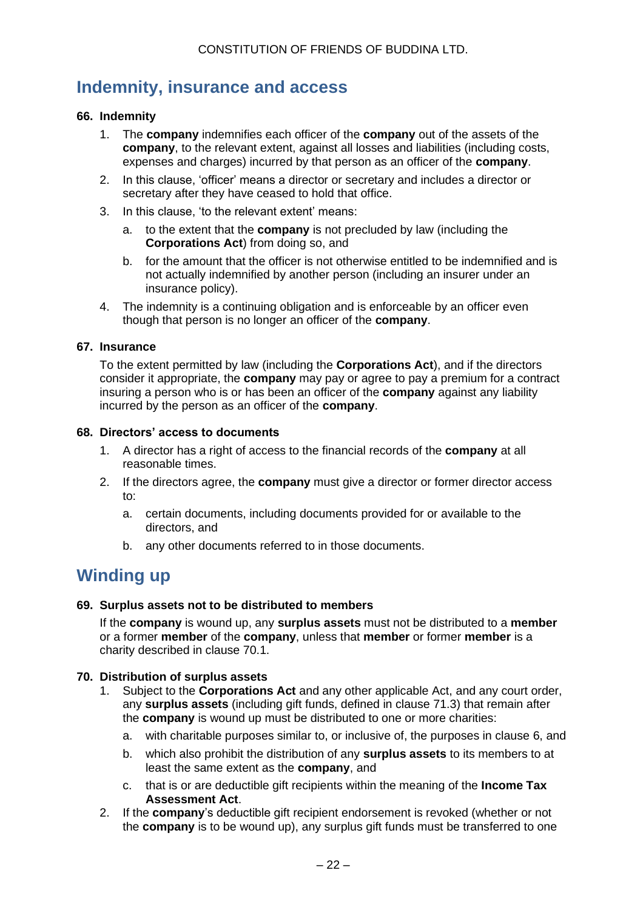# **Indemnity, insurance and access**

#### **66. Indemnity**

- 1. The **company** indemnifies each officer of the **company** out of the assets of the **company**, to the relevant extent, against all losses and liabilities (including costs, expenses and charges) incurred by that person as an officer of the **company**.
- 2. In this clause, 'officer' means a director or secretary and includes a director or secretary after they have ceased to hold that office.
- 3. In this clause, 'to the relevant extent' means:
	- a. to the extent that the **company** is not precluded by law (including the **Corporations Act**) from doing so, and
	- b. for the amount that the officer is not otherwise entitled to be indemnified and is not actually indemnified by another person (including an insurer under an insurance policy).
- 4. The indemnity is a continuing obligation and is enforceable by an officer even though that person is no longer an officer of the **company**.

#### **67. Insurance**

To the extent permitted by law (including the **Corporations Act**), and if the directors consider it appropriate, the **company** may pay or agree to pay a premium for a contract insuring a person who is or has been an officer of the **company** against any liability incurred by the person as an officer of the **company**.

#### **68. Directors' access to documents**

- 1. A director has a right of access to the financial records of the **company** at all reasonable times.
- 2. If the directors agree, the **company** must give a director or former director access to:
	- a. certain documents, including documents provided for or available to the directors, and
	- b. any other documents referred to in those documents.

### **Winding up**

#### **69. Surplus assets not to be distributed to members**

If the **company** is wound up, any **surplus assets** must not be distributed to a **member** or a former **member** of the **company**, unless that **member** or former **member** is a charity described in clause 70.1.

#### **70. Distribution of surplus assets**

- 1. Subject to the **Corporations Act** and any other applicable Act, and any court order, any **surplus assets** (including gift funds, defined in clause 71.3) that remain after the **company** is wound up must be distributed to one or more charities:
	- a. with charitable purposes similar to, or inclusive of, the purposes in clause 6, and
	- b. which also prohibit the distribution of any **surplus assets** to its members to at least the same extent as the **company**, and
	- c. that is or are deductible gift recipients within the meaning of the **Income Tax Assessment Act**.
- 2. If the **company**'s deductible gift recipient endorsement is revoked (whether or not the **company** is to be wound up), any surplus gift funds must be transferred to one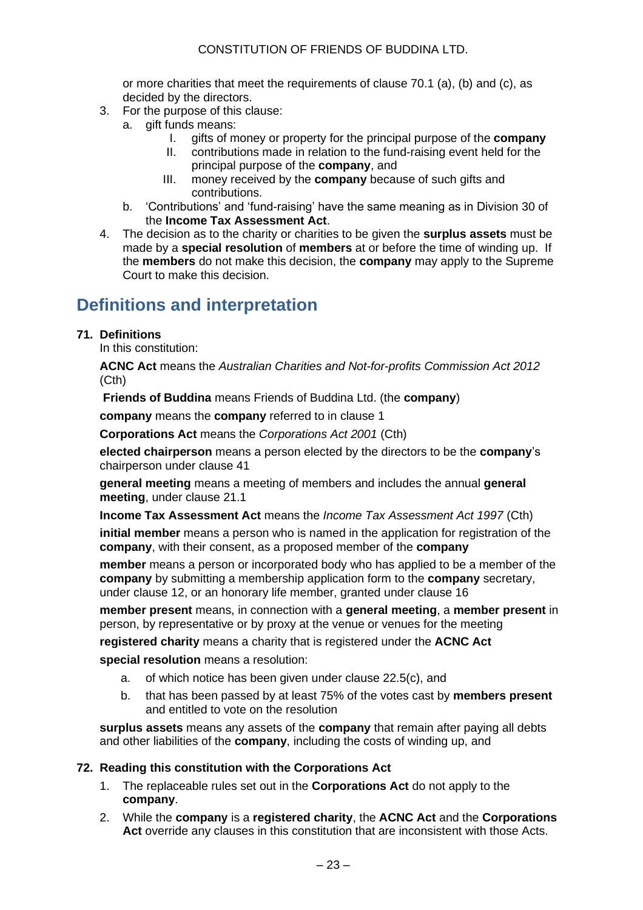or more charities that meet the requirements of clause 70.1 (a), (b) and (c), as decided by the directors.

- 3. For the purpose of this clause:
	- a. gift funds means:
		- I. gifts of money or property for the principal purpose of the **company**
		- II. contributions made in relation to the fund-raising event held for the principal purpose of the **company**, and
		- III. money received by the **company** because of such gifts and contributions.
	- b. 'Contributions' and 'fund-raising' have the same meaning as in Division 30 of the **Income Tax Assessment Act**.
- 4. The decision as to the charity or charities to be given the **surplus assets** must be made by a **special resolution** of **members** at or before the time of winding up. If the **members** do not make this decision, the **company** may apply to the Supreme Court to make this decision.

# **Definitions and interpretation**

#### **71. Definitions**

In this constitution:

**ACNC Act** means the *Australian Charities and Not-for-profits Commission Act 2012* (Cth)

**Friends of Buddina** means Friends of Buddina Ltd. (the **company**)

**company** means the **company** referred to in clause 1

**Corporations Act** means the *Corporations Act 2001* (Cth)

**elected chairperson** means a person elected by the directors to be the **company**'s chairperson under clause 41

**general meeting** means a meeting of members and includes the annual **general meeting**, under clause 21.1

**Income Tax Assessment Act** means the *Income Tax Assessment Act 1997* (Cth)

**initial member** means a person who is named in the application for registration of the **company**, with their consent, as a proposed member of the **company**

**member** means a person or incorporated body who has applied to be a member of the **company** by submitting a membership application form to the **company** secretary, under clause 12, or an honorary life member, granted under clause 16

**member present** means, in connection with a **general meeting**, a **member present** in person, by representative or by proxy at the venue or venues for the meeting

**registered charity** means a charity that is registered under the **ACNC Act**

**special resolution** means a resolution:

- a. of which notice has been given under clause 22.5(c), and
- b. that has been passed by at least 75% of the votes cast by **members present** and entitled to vote on the resolution

**surplus assets** means any assets of the **company** that remain after paying all debts and other liabilities of the **company**, including the costs of winding up, and

#### **72. Reading this constitution with the Corporations Act**

- 1. The replaceable rules set out in the **Corporations Act** do not apply to the **company**.
- 2. While the **company** is a **registered charity**, the **ACNC Act** and the **Corporations Act** override any clauses in this constitution that are inconsistent with those Acts.